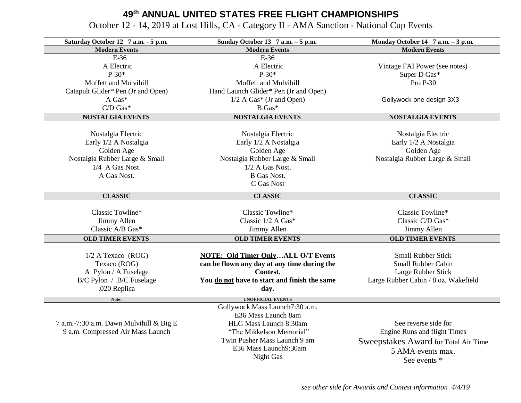## **49th ANNUAL UNITED STATES FREE FLIGHT CHAMPIONSHIPS**

October 12 - 14, 2019 at Lost Hills, CA - Category II - AMA Sanction - National Cup Events

| Saturday October 12 7 a.m. - 5 p.m.     | Sunday October 13 7 a.m. - 5 p.m.                     | Monday October 14 7 a.m. - 3 p.m.    |
|-----------------------------------------|-------------------------------------------------------|--------------------------------------|
| <b>Modern Events</b>                    | <b>Modern Events</b>                                  | <b>Modern Events</b>                 |
| $E-36$                                  | $E-36$                                                |                                      |
| A Electric                              | A Electric                                            | Vintage FAI Power (see notes)        |
| $P-30*$                                 | $P-30*$                                               | Super D Gas*                         |
| Moffett and Mulvihill                   | Moffett and Mulvihill                                 | Pro P-30                             |
| Catapult Glider* Pen (Jr and Open)      | Hand Launch Glider* Pen (Jr and Open)                 |                                      |
| A Gas*                                  | $1/2$ A Gas* (Jr and Open)                            | Gollywock one design 3X3             |
| $C/D$ Gas*                              | B Gas*                                                |                                      |
| <b>NOSTALGIA EVENTS</b>                 | <b>NOSTALGIA EVENTS</b>                               | <b>NOSTALGIA EVENTS</b>              |
|                                         |                                                       |                                      |
| Nostalgia Electric                      | Nostalgia Electric                                    | Nostalgia Electric                   |
| Early 1/2 A Nostalgia                   | Early 1/2 A Nostalgia                                 | Early 1/2 A Nostalgia                |
| Golden Age                              | Golden Age                                            | Golden Age                           |
| Nostalgia Rubber Large & Small          | Nostalgia Rubber Large & Small                        | Nostalgia Rubber Large & Small       |
| 1/4 A Gas Nost.                         | 1/2 A Gas Nost.                                       |                                      |
| A Gas Nost.                             | <b>B</b> Gas Nost.                                    |                                      |
|                                         | C Gas Nost                                            |                                      |
| <b>CLASSIC</b>                          | <b>CLASSIC</b>                                        | <b>CLASSIC</b>                       |
|                                         |                                                       |                                      |
| Classic Towline*                        | Classic Towline*                                      | Classic Towline*                     |
| Jimmy Allen                             | Classic 1/2 A Gas*                                    | Classic C/D Gas*                     |
| Classic A/B Gas*                        | Jimmy Allen                                           | Jimmy Allen                          |
|                                         |                                                       |                                      |
| <b>OLD TIMER EVENTS</b>                 | <b>OLD TIMER EVENTS</b>                               | <b>OLD TIMER EVENTS</b>              |
| $1/2$ A Texaco (ROG)                    | <b>NOTE: Old Timer OnlyALL O/T Events</b>             | <b>Small Rubber Stick</b>            |
| Texaco (ROG)                            | can be flown any day at any time during the           | <b>Small Rubber Cabin</b>            |
| A Pylon / A Fuselage                    | Contest.                                              | Large Rubber Stick                   |
| B/C Pylon / B/C Fuselage                | You do not have to start and finish the same          | Large Rubber Cabin / 8 oz. Wakefield |
| .020 Replica                            | day.                                                  |                                      |
|                                         |                                                       |                                      |
| Note:                                   | <b>UNOFFICIAL EVENTS</b>                              |                                      |
|                                         | Gollywock Mass Launch7:30 a.m.<br>E36 Mass Launch 8am |                                      |
|                                         |                                                       | See reverse side for                 |
| 7 a.m.-7:30 a.m. Dawn Mulvihill & Big E | HLG Mass Launch 8:30am<br>"The Mikkelson Memorial"    |                                      |
| 9 a.m. Compressed Air Mass Launch       |                                                       | Engine Runs and flight Times         |
|                                         | Twin Pusher Mass Launch 9 am                          | Sweepstakes Award for Total Air Time |
|                                         | E36 Mass Launch9:30am                                 | 5 AMA events max.                    |
|                                         | Night Gas                                             | See events *                         |
|                                         |                                                       |                                      |
|                                         |                                                       |                                      |